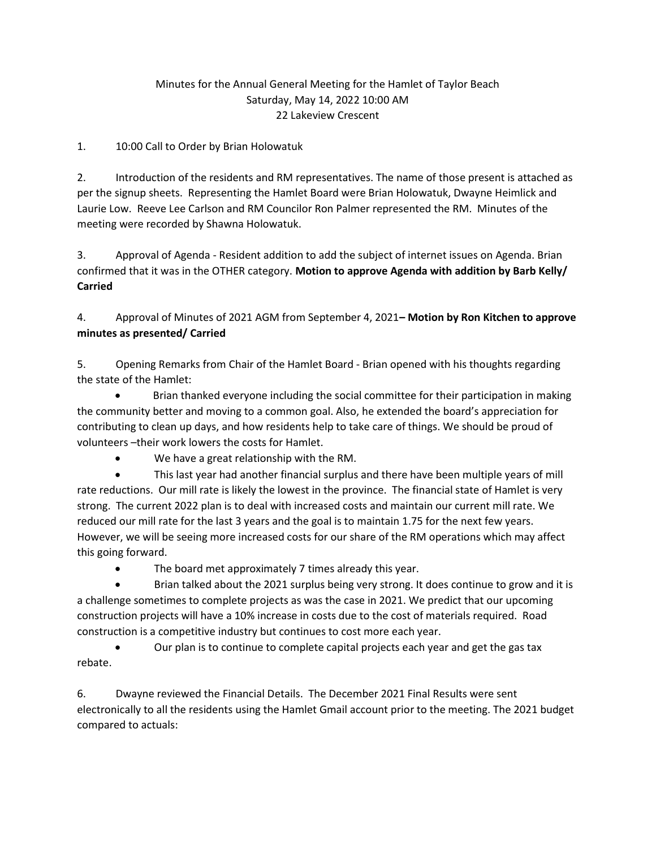## Minutes for the Annual General Meeting for the Hamlet of Taylor Beach Saturday, May 14, 2022 10:00 AM 22 Lakeview Crescent

## 1. 10:00 Call to Order by Brian Holowatuk

2. Introduction of the residents and RM representatives. The name of those present is attached as per the signup sheets. Representing the Hamlet Board were Brian Holowatuk, Dwayne Heimlick and Laurie Low. Reeve Lee Carlson and RM Councilor Ron Palmer represented the RM. Minutes of the meeting were recorded by Shawna Holowatuk.

3. Approval of Agenda - Resident addition to add the subject of internet issues on Agenda. Brian confirmed that it was in the OTHER category. Motion to approve Agenda with addition by Barb Kelly/ Carried

4. Approval of Minutes of 2021 AGM from September 4, 2021– Motion by Ron Kitchen to approve minutes as presented/ Carried

5. Opening Remarks from Chair of the Hamlet Board - Brian opened with his thoughts regarding the state of the Hamlet:

 Brian thanked everyone including the social committee for their participation in making the community better and moving to a common goal. Also, he extended the board's appreciation for contributing to clean up days, and how residents help to take care of things. We should be proud of volunteers –their work lowers the costs for Hamlet.

We have a great relationship with the RM.

 This last year had another financial surplus and there have been multiple years of mill rate reductions. Our mill rate is likely the lowest in the province. The financial state of Hamlet is very strong. The current 2022 plan is to deal with increased costs and maintain our current mill rate. We reduced our mill rate for the last 3 years and the goal is to maintain 1.75 for the next few years. However, we will be seeing more increased costs for our share of the RM operations which may affect this going forward.

• The board met approximately 7 times already this year.

 Brian talked about the 2021 surplus being very strong. It does continue to grow and it is a challenge sometimes to complete projects as was the case in 2021. We predict that our upcoming construction projects will have a 10% increase in costs due to the cost of materials required. Road construction is a competitive industry but continues to cost more each year.

 Our plan is to continue to complete capital projects each year and get the gas tax rebate.

6. Dwayne reviewed the Financial Details. The December 2021 Final Results were sent electronically to all the residents using the Hamlet Gmail account prior to the meeting. The 2021 budget compared to actuals: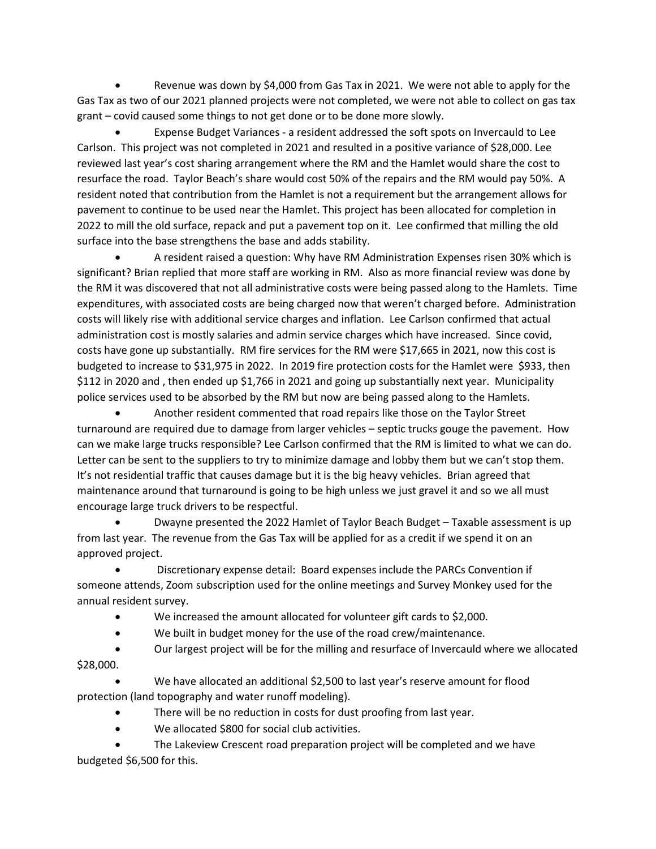Revenue was down by \$4,000 from Gas Tax in 2021. We were not able to apply for the Gas Tax as two of our 2021 planned projects were not completed, we were not able to collect on gas tax grant – covid caused some things to not get done or to be done more slowly.

 Expense Budget Variances - a resident addressed the soft spots on Invercauld to Lee Carlson. This project was not completed in 2021 and resulted in a positive variance of \$28,000. Lee reviewed last year's cost sharing arrangement where the RM and the Hamlet would share the cost to resurface the road. Taylor Beach's share would cost 50% of the repairs and the RM would pay 50%. A resident noted that contribution from the Hamlet is not a requirement but the arrangement allows for pavement to continue to be used near the Hamlet. This project has been allocated for completion in 2022 to mill the old surface, repack and put a pavement top on it. Lee confirmed that milling the old surface into the base strengthens the base and adds stability.

 A resident raised a question: Why have RM Administration Expenses risen 30% which is significant? Brian replied that more staff are working in RM. Also as more financial review was done by the RM it was discovered that not all administrative costs were being passed along to the Hamlets. Time expenditures, with associated costs are being charged now that weren't charged before. Administration costs will likely rise with additional service charges and inflation. Lee Carlson confirmed that actual administration cost is mostly salaries and admin service charges which have increased. Since covid, costs have gone up substantially. RM fire services for the RM were \$17,665 in 2021, now this cost is budgeted to increase to \$31,975 in 2022. In 2019 fire protection costs for the Hamlet were \$933, then \$112 in 2020 and , then ended up \$1,766 in 2021 and going up substantially next year. Municipality police services used to be absorbed by the RM but now are being passed along to the Hamlets.

 Another resident commented that road repairs like those on the Taylor Street turnaround are required due to damage from larger vehicles – septic trucks gouge the pavement. How can we make large trucks responsible? Lee Carlson confirmed that the RM is limited to what we can do. Letter can be sent to the suppliers to try to minimize damage and lobby them but we can't stop them. It's not residential traffic that causes damage but it is the big heavy vehicles. Brian agreed that maintenance around that turnaround is going to be high unless we just gravel it and so we all must encourage large truck drivers to be respectful.

 Dwayne presented the 2022 Hamlet of Taylor Beach Budget – Taxable assessment is up from last year. The revenue from the Gas Tax will be applied for as a credit if we spend it on an approved project.

 Discretionary expense detail: Board expenses include the PARCs Convention if someone attends, Zoom subscription used for the online meetings and Survey Monkey used for the annual resident survey.

- We increased the amount allocated for volunteer gift cards to \$2,000.
- We built in budget money for the use of the road crew/maintenance.
- Our largest project will be for the milling and resurface of Invercauld where we allocated \$28,000.

 We have allocated an additional \$2,500 to last year's reserve amount for flood protection (land topography and water runoff modeling).

- There will be no reduction in costs for dust proofing from last year.
- We allocated \$800 for social club activities.

 The Lakeview Crescent road preparation project will be completed and we have budgeted \$6,500 for this.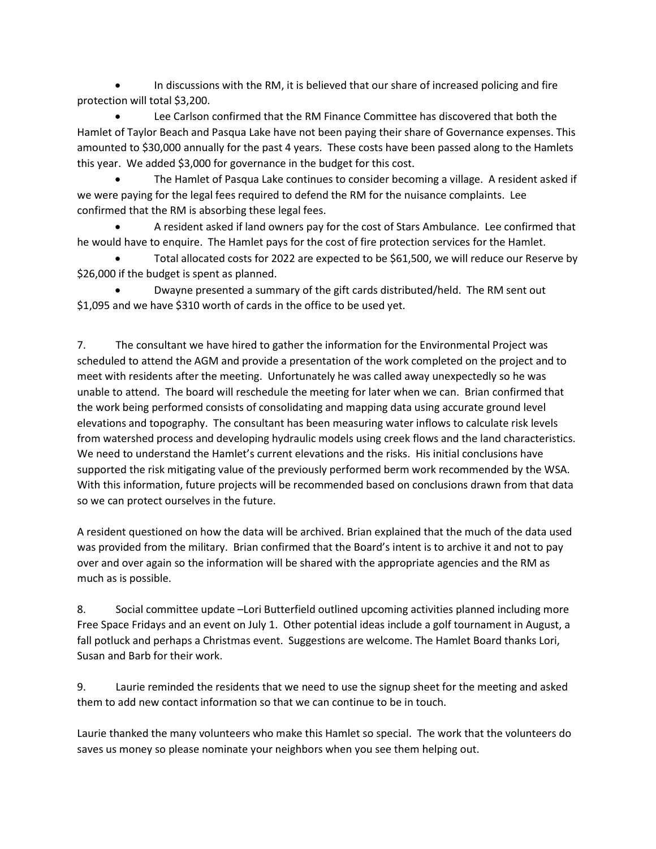In discussions with the RM, it is believed that our share of increased policing and fire protection will total \$3,200.

 Lee Carlson confirmed that the RM Finance Committee has discovered that both the Hamlet of Taylor Beach and Pasqua Lake have not been paying their share of Governance expenses. This amounted to \$30,000 annually for the past 4 years. These costs have been passed along to the Hamlets this year. We added \$3,000 for governance in the budget for this cost.

 The Hamlet of Pasqua Lake continues to consider becoming a village. A resident asked if we were paying for the legal fees required to defend the RM for the nuisance complaints. Lee confirmed that the RM is absorbing these legal fees.

 A resident asked if land owners pay for the cost of Stars Ambulance. Lee confirmed that he would have to enquire. The Hamlet pays for the cost of fire protection services for the Hamlet.

 Total allocated costs for 2022 are expected to be \$61,500, we will reduce our Reserve by \$26,000 if the budget is spent as planned.

 Dwayne presented a summary of the gift cards distributed/held. The RM sent out \$1,095 and we have \$310 worth of cards in the office to be used yet.

7. The consultant we have hired to gather the information for the Environmental Project was scheduled to attend the AGM and provide a presentation of the work completed on the project and to meet with residents after the meeting. Unfortunately he was called away unexpectedly so he was unable to attend. The board will reschedule the meeting for later when we can. Brian confirmed that the work being performed consists of consolidating and mapping data using accurate ground level elevations and topography. The consultant has been measuring water inflows to calculate risk levels from watershed process and developing hydraulic models using creek flows and the land characteristics. We need to understand the Hamlet's current elevations and the risks. His initial conclusions have supported the risk mitigating value of the previously performed berm work recommended by the WSA. With this information, future projects will be recommended based on conclusions drawn from that data so we can protect ourselves in the future.

A resident questioned on how the data will be archived. Brian explained that the much of the data used was provided from the military. Brian confirmed that the Board's intent is to archive it and not to pay over and over again so the information will be shared with the appropriate agencies and the RM as much as is possible.

8. Social committee update –Lori Butterfield outlined upcoming activities planned including more Free Space Fridays and an event on July 1. Other potential ideas include a golf tournament in August, a fall potluck and perhaps a Christmas event. Suggestions are welcome. The Hamlet Board thanks Lori, Susan and Barb for their work.

9. Laurie reminded the residents that we need to use the signup sheet for the meeting and asked them to add new contact information so that we can continue to be in touch.

Laurie thanked the many volunteers who make this Hamlet so special. The work that the volunteers do saves us money so please nominate your neighbors when you see them helping out.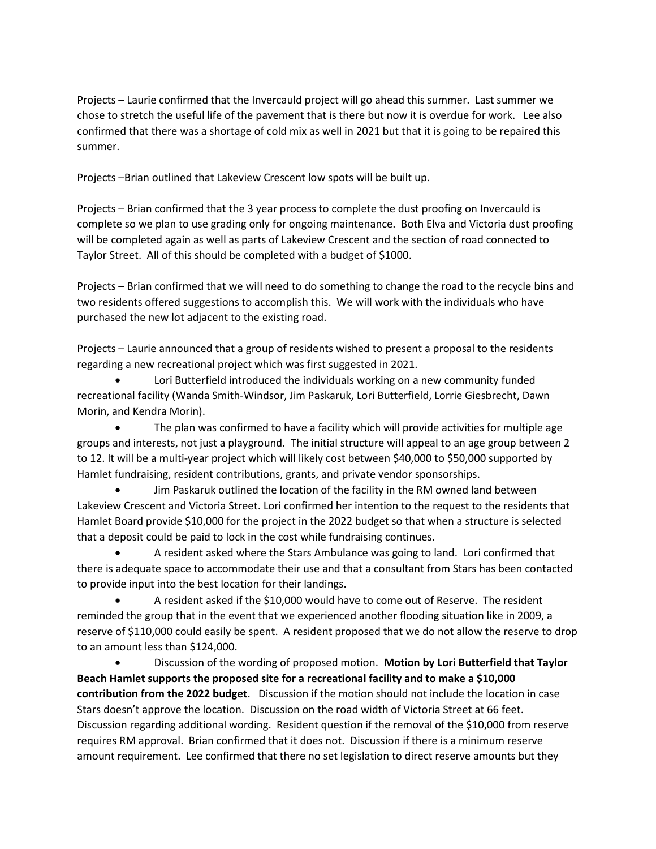Projects – Laurie confirmed that the Invercauld project will go ahead this summer. Last summer we chose to stretch the useful life of the pavement that is there but now it is overdue for work. Lee also confirmed that there was a shortage of cold mix as well in 2021 but that it is going to be repaired this summer.

Projects –Brian outlined that Lakeview Crescent low spots will be built up.

Projects – Brian confirmed that the 3 year process to complete the dust proofing on Invercauld is complete so we plan to use grading only for ongoing maintenance. Both Elva and Victoria dust proofing will be completed again as well as parts of Lakeview Crescent and the section of road connected to Taylor Street. All of this should be completed with a budget of \$1000.

Projects – Brian confirmed that we will need to do something to change the road to the recycle bins and two residents offered suggestions to accomplish this. We will work with the individuals who have purchased the new lot adjacent to the existing road.

Projects – Laurie announced that a group of residents wished to present a proposal to the residents regarding a new recreational project which was first suggested in 2021.

 Lori Butterfield introduced the individuals working on a new community funded recreational facility (Wanda Smith-Windsor, Jim Paskaruk, Lori Butterfield, Lorrie Giesbrecht, Dawn Morin, and Kendra Morin).

 The plan was confirmed to have a facility which will provide activities for multiple age groups and interests, not just a playground. The initial structure will appeal to an age group between 2 to 12. It will be a multi-year project which will likely cost between \$40,000 to \$50,000 supported by Hamlet fundraising, resident contributions, grants, and private vendor sponsorships.

 Jim Paskaruk outlined the location of the facility in the RM owned land between Lakeview Crescent and Victoria Street. Lori confirmed her intention to the request to the residents that Hamlet Board provide \$10,000 for the project in the 2022 budget so that when a structure is selected that a deposit could be paid to lock in the cost while fundraising continues.

 A resident asked where the Stars Ambulance was going to land. Lori confirmed that there is adequate space to accommodate their use and that a consultant from Stars has been contacted to provide input into the best location for their landings.

 A resident asked if the \$10,000 would have to come out of Reserve. The resident reminded the group that in the event that we experienced another flooding situation like in 2009, a reserve of \$110,000 could easily be spent. A resident proposed that we do not allow the reserve to drop to an amount less than \$124,000.

**•** Discussion of the wording of proposed motion. Motion by Lori Butterfield that Taylor Beach Hamlet supports the proposed site for a recreational facility and to make a \$10,000 contribution from the 2022 budget. Discussion if the motion should not include the location in case Stars doesn't approve the location. Discussion on the road width of Victoria Street at 66 feet. Discussion regarding additional wording. Resident question if the removal of the \$10,000 from reserve requires RM approval. Brian confirmed that it does not. Discussion if there is a minimum reserve amount requirement. Lee confirmed that there no set legislation to direct reserve amounts but they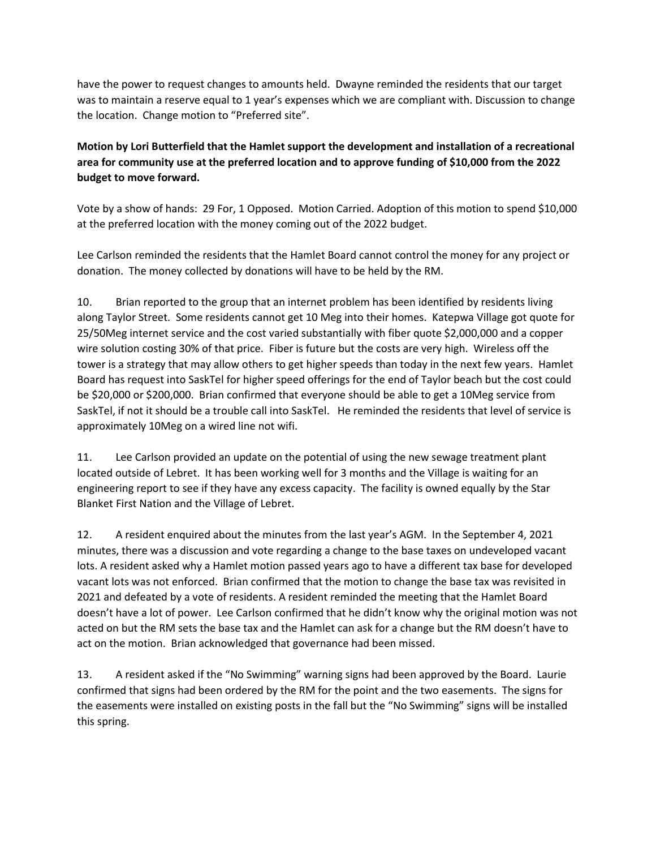have the power to request changes to amounts held. Dwayne reminded the residents that our target was to maintain a reserve equal to 1 year's expenses which we are compliant with. Discussion to change the location. Change motion to "Preferred site".

Motion by Lori Butterfield that the Hamlet support the development and installation of a recreational area for community use at the preferred location and to approve funding of \$10,000 from the 2022 budget to move forward.

Vote by a show of hands: 29 For, 1 Opposed. Motion Carried. Adoption of this motion to spend \$10,000 at the preferred location with the money coming out of the 2022 budget.

Lee Carlson reminded the residents that the Hamlet Board cannot control the money for any project or donation. The money collected by donations will have to be held by the RM.

10. Brian reported to the group that an internet problem has been identified by residents living along Taylor Street. Some residents cannot get 10 Meg into their homes. Katepwa Village got quote for 25/50Meg internet service and the cost varied substantially with fiber quote \$2,000,000 and a copper wire solution costing 30% of that price. Fiber is future but the costs are very high. Wireless off the tower is a strategy that may allow others to get higher speeds than today in the next few years. Hamlet Board has request into SaskTel for higher speed offerings for the end of Taylor beach but the cost could be \$20,000 or \$200,000. Brian confirmed that everyone should be able to get a 10Meg service from SaskTel, if not it should be a trouble call into SaskTel. He reminded the residents that level of service is approximately 10Meg on a wired line not wifi.

11. Lee Carlson provided an update on the potential of using the new sewage treatment plant located outside of Lebret. It has been working well for 3 months and the Village is waiting for an engineering report to see if they have any excess capacity. The facility is owned equally by the Star Blanket First Nation and the Village of Lebret.

12. A resident enquired about the minutes from the last year's AGM. In the September 4, 2021 minutes, there was a discussion and vote regarding a change to the base taxes on undeveloped vacant lots. A resident asked why a Hamlet motion passed years ago to have a different tax base for developed vacant lots was not enforced. Brian confirmed that the motion to change the base tax was revisited in 2021 and defeated by a vote of residents. A resident reminded the meeting that the Hamlet Board doesn't have a lot of power. Lee Carlson confirmed that he didn't know why the original motion was not acted on but the RM sets the base tax and the Hamlet can ask for a change but the RM doesn't have to act on the motion. Brian acknowledged that governance had been missed.

13. A resident asked if the "No Swimming" warning signs had been approved by the Board. Laurie confirmed that signs had been ordered by the RM for the point and the two easements. The signs for the easements were installed on existing posts in the fall but the "No Swimming" signs will be installed this spring.